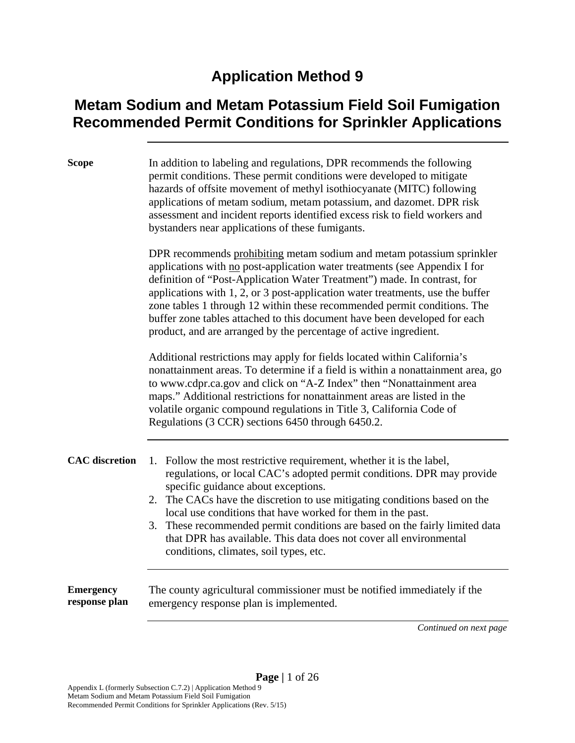#### **Application Method 9**

#### **Metam Sodium and Metam Potassium Field Soil Fumigation Recommended Permit Conditions for Sprinkler Applications**

| <b>Scope</b>                      | In addition to labeling and regulations, DPR recommends the following<br>permit conditions. These permit conditions were developed to mitigate<br>hazards of offsite movement of methyl isothiocyanate (MITC) following<br>applications of metam sodium, metam potassium, and dazomet. DPR risk<br>assessment and incident reports identified excess risk to field workers and<br>bystanders near applications of these fumigants.                                                                                                              |
|-----------------------------------|-------------------------------------------------------------------------------------------------------------------------------------------------------------------------------------------------------------------------------------------------------------------------------------------------------------------------------------------------------------------------------------------------------------------------------------------------------------------------------------------------------------------------------------------------|
|                                   | DPR recommends prohibiting metam sodium and metam potassium sprinkler<br>applications with no post-application water treatments (see Appendix I for<br>definition of "Post-Application Water Treatment") made. In contrast, for<br>applications with 1, 2, or 3 post-application water treatments, use the buffer<br>zone tables 1 through 12 within these recommended permit conditions. The<br>buffer zone tables attached to this document have been developed for each<br>product, and are arranged by the percentage of active ingredient. |
|                                   | Additional restrictions may apply for fields located within California's<br>nonattainment areas. To determine if a field is within a nonattainment area, go<br>to www.cdpr.ca.gov and click on "A-Z Index" then "Nonattainment area<br>maps." Additional restrictions for nonattainment areas are listed in the<br>volatile organic compound regulations in Title 3, California Code of<br>Regulations (3 CCR) sections 6450 through 6450.2.                                                                                                    |
| <b>CAC</b> discretion             | 1. Follow the most restrictive requirement, whether it is the label,<br>regulations, or local CAC's adopted permit conditions. DPR may provide<br>specific guidance about exceptions.<br>2. The CACs have the discretion to use mitigating conditions based on the<br>local use conditions that have worked for them in the past.<br>These recommended permit conditions are based on the fairly limited data<br>3.<br>that DPR has available. This data does not cover all environmental<br>conditions, climates, soil types, etc.             |
| <b>Emergency</b><br>response plan | The county agricultural commissioner must be notified immediately if the<br>emergency response plan is implemented.<br>$C_{\rm{m}}$ diagonal control                                                                                                                                                                                                                                                                                                                                                                                            |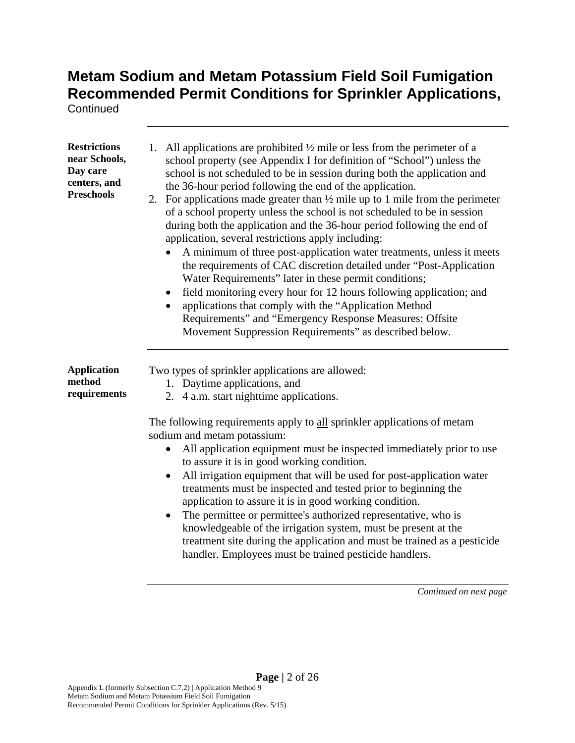**Continued** 

| <b>Restrictions</b><br>near Schools,<br>Day care<br>centers, and<br><b>Preschools</b> | All applications are prohibited $\frac{1}{2}$ mile or less from the perimeter of a<br>1.<br>school property (see Appendix I for definition of "School") unless the<br>school is not scheduled to be in session during both the application and<br>the 36-hour period following the end of the application.<br>For applications made greater than $\frac{1}{2}$ mile up to 1 mile from the perimeter<br>2.<br>of a school property unless the school is not scheduled to be in session<br>during both the application and the 36-hour period following the end of<br>application, several restrictions apply including:<br>A minimum of three post-application water treatments, unless it meets<br>the requirements of CAC discretion detailed under "Post-Application"<br>Water Requirements" later in these permit conditions;<br>field monitoring every hour for 12 hours following application; and<br>applications that comply with the "Application Method<br>Requirements" and "Emergency Response Measures: Offsite<br>Movement Suppression Requirements" as described below. |
|---------------------------------------------------------------------------------------|---------------------------------------------------------------------------------------------------------------------------------------------------------------------------------------------------------------------------------------------------------------------------------------------------------------------------------------------------------------------------------------------------------------------------------------------------------------------------------------------------------------------------------------------------------------------------------------------------------------------------------------------------------------------------------------------------------------------------------------------------------------------------------------------------------------------------------------------------------------------------------------------------------------------------------------------------------------------------------------------------------------------------------------------------------------------------------------|
| <b>Application</b><br>method<br>requirements                                          | Two types of sprinkler applications are allowed:<br>1. Daytime applications, and<br>2. 4 a.m. start nighttime applications.<br>The following requirements apply to all sprinkler applications of metam<br>sodium and metam potassium:<br>All application equipment must be inspected immediately prior to use<br>to assure it is in good working condition.<br>All irrigation equipment that will be used for post-application water<br>٠<br>treatments must be inspected and tested prior to beginning the<br>application to assure it is in good working condition.<br>The permittee or permittee's authorized representative, who is<br>knowledgeable of the irrigation system, must be present at the<br>treatment site during the application and must be trained as a pesticide<br>handler. Employees must be trained pesticide handlers.                                                                                                                                                                                                                                       |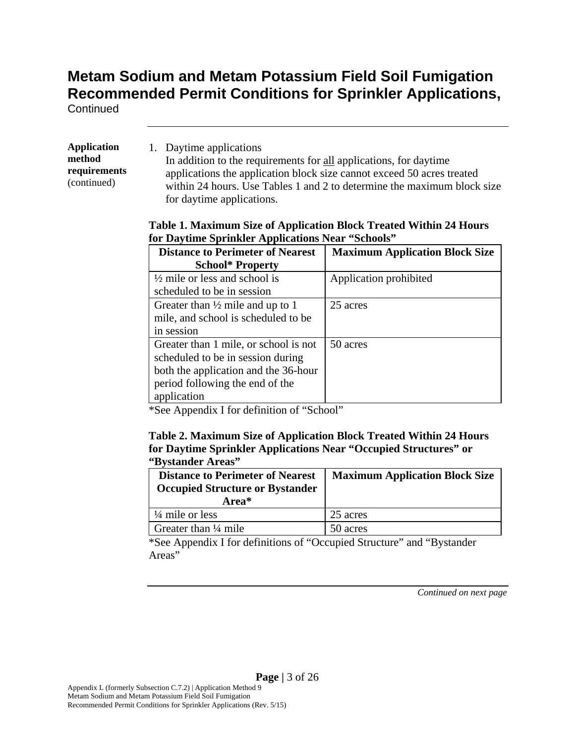**Continued** 

**Application method requirements**  (continued)

1. Daytime applications In addition to the requirements for all applications, for daytime applications the application block size cannot exceed 50 acres treated within 24 hours. Use Tables 1 and 2 to determine the maximum block size for daytime applications.

#### **Table 1. Maximum Size of Application Block Treated Within 24 Hours for Daytime Sprinkler Applications Near "Schools"**

| <b>Distance to Perimeter of Nearest</b><br><b>School* Property</b> | <b>Maximum Application Block Size</b> |
|--------------------------------------------------------------------|---------------------------------------|
| $\frac{1}{2}$ mile or less and school is                           | Application prohibited                |
| scheduled to be in session                                         |                                       |
| Greater than $\frac{1}{2}$ mile and up to 1                        | 25 acres                              |
| mile, and school is scheduled to be                                |                                       |
| in session                                                         |                                       |
| Greater than 1 mile, or school is not                              | 50 acres                              |
| scheduled to be in session during                                  |                                       |
| both the application and the 36-hour                               |                                       |
| period following the end of the                                    |                                       |
| application                                                        |                                       |

\*See Appendix I for definition of "School"

#### **Table 2. Maximum Size of Application Block Treated Within 24 Hours for Daytime Sprinkler Applications Near "Occupied Structures" or "Bystander Areas"**

| <b>Distance to Perimeter of Nearest</b><br><b>Occupied Structure or Bystander</b><br>Area* | <b>Maximum Application Block Size</b> |
|--------------------------------------------------------------------------------------------|---------------------------------------|
| $\frac{1}{4}$ mile or less                                                                 | 25 acres                              |
| Greater than $\frac{1}{4}$ mile                                                            | 50 acres                              |

\*See Appendix I for definitions of "Occupied Structure" and "Bystander Areas"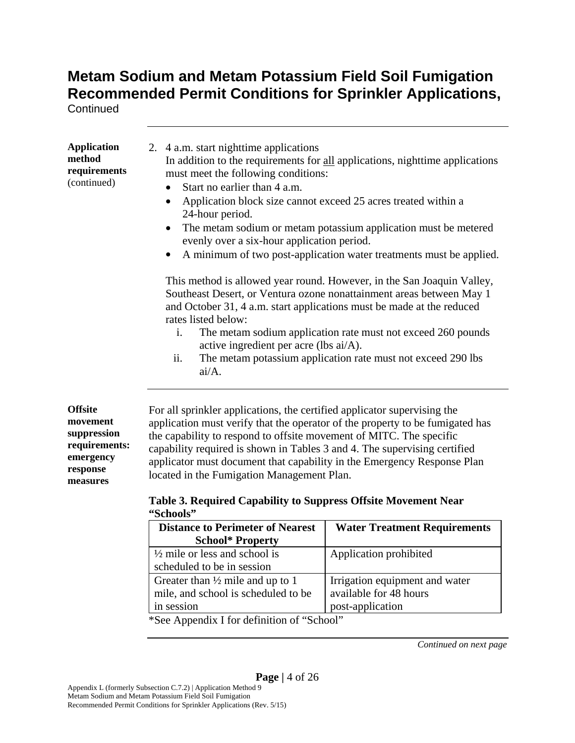**Continued** 

| <b>Application</b><br>method<br>requirements<br>(continued)                                     | 2. 4 a.m. start nighttime applications<br>In addition to the requirements for all applications, nighttime applications<br>must meet the following conditions:<br>Start no earlier than 4 a.m.<br>Application block size cannot exceed 25 acres treated within a<br>$\bullet$<br>24-hour period.<br>The metam sodium or metam potassium application must be metered<br>$\bullet$<br>evenly over a six-hour application period.<br>A minimum of two post-application water treatments must be applied.<br>This method is allowed year round. However, in the San Joaquin Valley, |
|-------------------------------------------------------------------------------------------------|--------------------------------------------------------------------------------------------------------------------------------------------------------------------------------------------------------------------------------------------------------------------------------------------------------------------------------------------------------------------------------------------------------------------------------------------------------------------------------------------------------------------------------------------------------------------------------|
|                                                                                                 | Southeast Desert, or Ventura ozone nonattainment areas between May 1<br>and October 31, 4 a.m. start applications must be made at the reduced                                                                                                                                                                                                                                                                                                                                                                                                                                  |
|                                                                                                 | rates listed below:                                                                                                                                                                                                                                                                                                                                                                                                                                                                                                                                                            |
|                                                                                                 | The metam sodium application rate must not exceed 260 pounds<br>i.<br>active ingredient per acre (lbs ai/A).                                                                                                                                                                                                                                                                                                                                                                                                                                                                   |
|                                                                                                 | The metam potassium application rate must not exceed 290 lbs<br>ii.<br>ai/A.                                                                                                                                                                                                                                                                                                                                                                                                                                                                                                   |
| <b>Offsite</b><br>movement<br>suppression<br>requirements:<br>emergency<br>response<br>measures | For all sprinkler applications, the certified applicator supervising the<br>application must verify that the operator of the property to be fumigated has<br>the capability to respond to offsite movement of MITC. The specific<br>capability required is shown in Tables 3 and 4. The supervising certified<br>applicator must document that capability in the Emergency Response Plan<br>located in the Fumigation Management Plan.                                                                                                                                         |
|                                                                                                 | Table 3. Required Capability to Suppress Offsite Movement Near<br>"Schools"                                                                                                                                                                                                                                                                                                                                                                                                                                                                                                    |
|                                                                                                 | <b>Distance to Perimeter of Nearest</b><br><b>Water Treatment Requirements</b><br>School* Property                                                                                                                                                                                                                                                                                                                                                                                                                                                                             |

| <b>Distance to Perimeter of Nearest</b>     | Water Treatment Requirements   |
|---------------------------------------------|--------------------------------|
| <b>School* Property</b>                     |                                |
| $\frac{1}{2}$ mile or less and school is    | Application prohibited         |
| scheduled to be in session                  |                                |
| Greater than $\frac{1}{2}$ mile and up to 1 | Irrigation equipment and water |
| mile, and school is scheduled to be         | available for 48 hours         |
| in session                                  | post-application               |
| *See Appendix I for definition of "School"  |                                |

See Appendix I for definition of "School"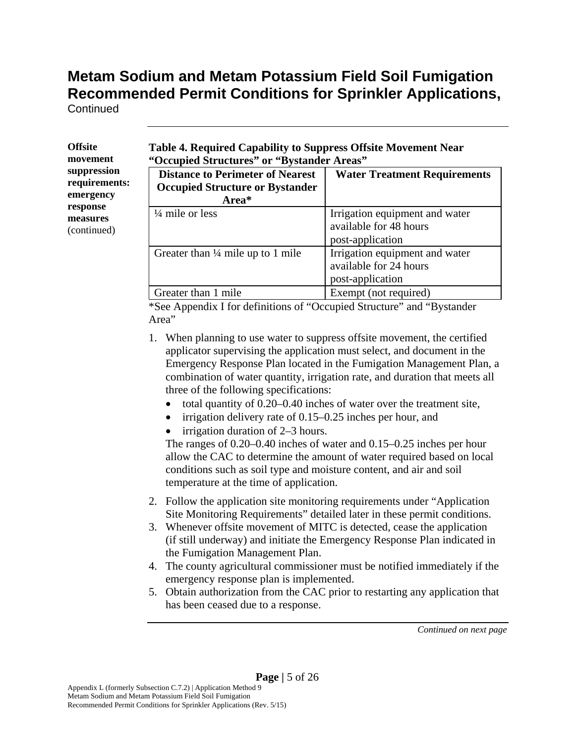**Continued** 

| Offsite       |
|---------------|
| movement      |
| suppression   |
| requirements: |
| emergency     |
| response      |
| measures      |
| (continued)   |
|               |

**Table 4. Required Capability to Suppress Offsite Movement Near "Occupied Structures" or "Bystander Areas"** 

| <b>Distance to Perimeter of Nearest</b><br><b>Occupied Structure or Bystander</b><br>Area* | <b>Water Treatment Requirements</b>                                          |
|--------------------------------------------------------------------------------------------|------------------------------------------------------------------------------|
| $\frac{1}{4}$ mile or less                                                                 | Irrigation equipment and water<br>available for 48 hours<br>post-application |
| Greater than $\frac{1}{4}$ mile up to 1 mile                                               | Irrigation equipment and water<br>available for 24 hours<br>post-application |
| Greater than 1 mile                                                                        | Exempt (not required)                                                        |

\*See Appendix I for definitions of "Occupied Structure" and "Bystander Area"

- 1. When planning to use water to suppress offsite movement, the certified applicator supervising the application must select, and document in the Emergency Response Plan located in the Fumigation Management Plan, a combination of water quantity, irrigation rate, and duration that meets all three of the following specifications:
	- $\bullet$  total quantity of 0.20–0.40 inches of water over the treatment site,
	- irrigation delivery rate of 0.15–0.25 inches per hour, and
	- irrigation duration of 2–3 hours.

The ranges of 0.20–0.40 inches of water and 0.15–0.25 inches per hour allow the CAC to determine the amount of water required based on local conditions such as soil type and moisture content, and air and soil temperature at the time of application.

- 2. Follow the application site monitoring requirements under "Application Site Monitoring Requirements" detailed later in these permit conditions.
- 3. Whenever offsite movement of MITC is detected, cease the application (if still underway) and initiate the Emergency Response Plan indicated in the Fumigation Management Plan.
- 4. The county agricultural commissioner must be notified immediately if the emergency response plan is implemented.
- 5. Obtain authorization from the CAC prior to restarting any application that has been ceased due to a response.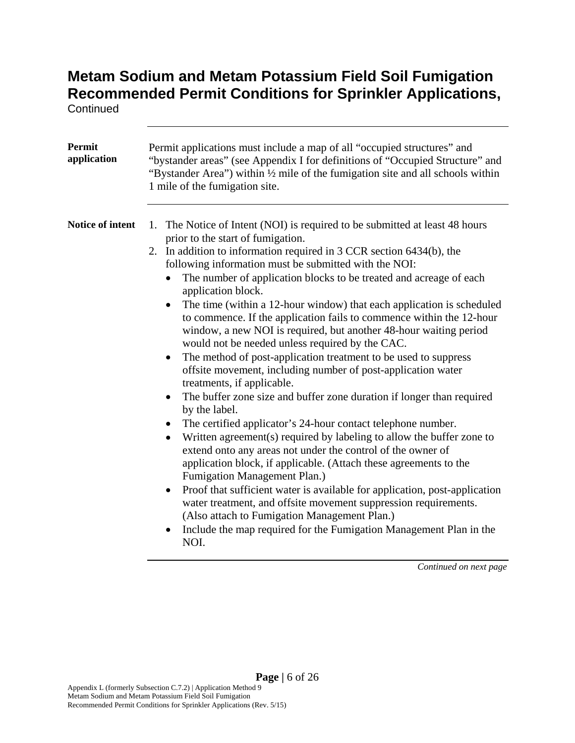**Continued** 

| Permit<br>application | Permit applications must include a map of all "occupied structures" and<br>"bystander areas" (see Appendix I for definitions of "Occupied Structure" and<br>"Bystander Area") within 1/2 mile of the fumigation site and all schools within<br>1 mile of the fumigation site.                                                                                                                                                                                                                                                                                                                                                                                                                                                                                                                                                                                                                                                                                                                                                                                                                                                                                                                                                                                                                                                                                                                                                                                                                                                |
|-----------------------|------------------------------------------------------------------------------------------------------------------------------------------------------------------------------------------------------------------------------------------------------------------------------------------------------------------------------------------------------------------------------------------------------------------------------------------------------------------------------------------------------------------------------------------------------------------------------------------------------------------------------------------------------------------------------------------------------------------------------------------------------------------------------------------------------------------------------------------------------------------------------------------------------------------------------------------------------------------------------------------------------------------------------------------------------------------------------------------------------------------------------------------------------------------------------------------------------------------------------------------------------------------------------------------------------------------------------------------------------------------------------------------------------------------------------------------------------------------------------------------------------------------------------|
| Notice of intent      | 1. The Notice of Intent (NOI) is required to be submitted at least 48 hours<br>prior to the start of fumigation.<br>In addition to information required in 3 CCR section 6434(b), the<br>2.<br>following information must be submitted with the NOI:<br>The number of application blocks to be treated and acreage of each<br>٠<br>application block.<br>The time (within a 12-hour window) that each application is scheduled<br>to commence. If the application fails to commence within the 12-hour<br>window, a new NOI is required, but another 48-hour waiting period<br>would not be needed unless required by the CAC.<br>The method of post-application treatment to be used to suppress<br>offsite movement, including number of post-application water<br>treatments, if applicable.<br>The buffer zone size and buffer zone duration if longer than required<br>by the label.<br>The certified applicator's 24-hour contact telephone number.<br>$\bullet$<br>Written agreement(s) required by labeling to allow the buffer zone to<br>extend onto any areas not under the control of the owner of<br>application block, if applicable. (Attach these agreements to the<br>Fumigation Management Plan.)<br>Proof that sufficient water is available for application, post-application<br>$\bullet$<br>water treatment, and offsite movement suppression requirements.<br>(Also attach to Fumigation Management Plan.)<br>Include the map required for the Fumigation Management Plan in the<br>$\bullet$<br>NOI. |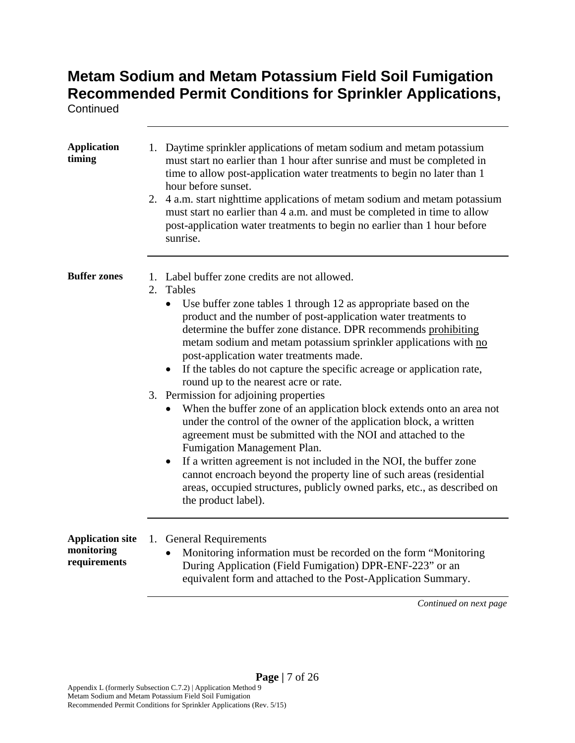**Continued** 

| <b>Application</b><br>timing                          | 1. Daytime sprinkler applications of metam sodium and metam potassium<br>must start no earlier than 1 hour after sunrise and must be completed in<br>time to allow post-application water treatments to begin no later than 1<br>hour before sunset.<br>4 a.m. start nighttime applications of metam sodium and metam potassium<br>2.<br>must start no earlier than 4 a.m. and must be completed in time to allow<br>post-application water treatments to begin no earlier than 1 hour before<br>sunrise.                                        |
|-------------------------------------------------------|--------------------------------------------------------------------------------------------------------------------------------------------------------------------------------------------------------------------------------------------------------------------------------------------------------------------------------------------------------------------------------------------------------------------------------------------------------------------------------------------------------------------------------------------------|
| <b>Buffer zones</b>                                   | 1. Label buffer zone credits are not allowed.<br>2. Tables<br>• Use buffer zone tables 1 through 12 as appropriate based on the<br>product and the number of post-application water treatments to<br>determine the buffer zone distance. DPR recommends prohibiting<br>metam sodium and metam potassium sprinkler applications with no<br>post-application water treatments made.<br>If the tables do not capture the specific acreage or application rate,<br>$\bullet$<br>round up to the nearest acre or rate.                                |
|                                                       | 3. Permission for adjoining properties<br>When the buffer zone of an application block extends onto an area not<br>under the control of the owner of the application block, a written<br>agreement must be submitted with the NOI and attached to the<br>Fumigation Management Plan.<br>If a written agreement is not included in the NOI, the buffer zone<br>$\bullet$<br>cannot encroach beyond the property line of such areas (residential<br>areas, occupied structures, publicly owned parks, etc., as described on<br>the product label). |
| <b>Application site</b><br>monitoring<br>requirements | <b>General Requirements</b><br>1.<br>Monitoring information must be recorded on the form "Monitoring<br>During Application (Field Fumigation) DPR-ENF-223" or an<br>equivalent form and attached to the Post-Application Summary.<br>$\mathbf{r}$                                                                                                                                                                                                                                                                                                |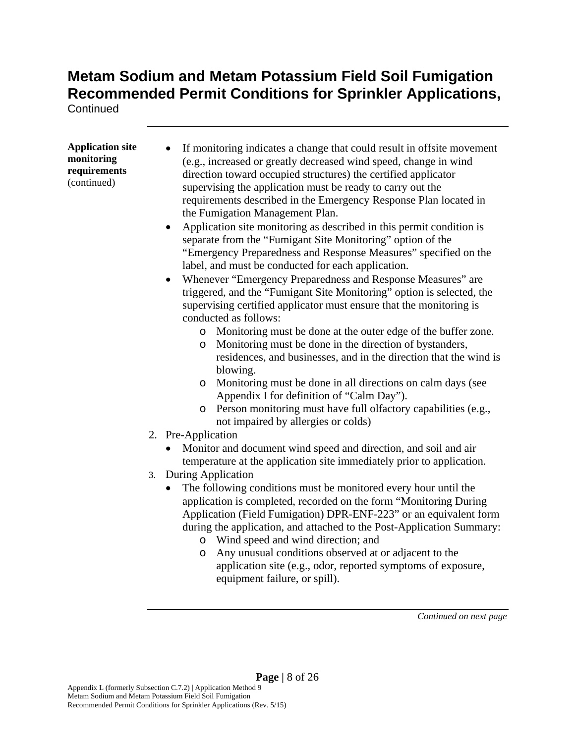**Continued** 

| <b>Application site</b> |  |
|-------------------------|--|
| monitoring              |  |
| requirements            |  |
| (continued)             |  |

- If monitoring indicates a change that could result in offsite movement (e.g., increased or greatly decreased wind speed, change in wind direction toward occupied structures) the certified applicator supervising the application must be ready to carry out the requirements described in the Emergency Response Plan located in the Fumigation Management Plan.
- Application site monitoring as described in this permit condition is separate from the "Fumigant Site Monitoring" option of the "Emergency Preparedness and Response Measures" specified on the label, and must be conducted for each application.
- Whenever "Emergency Preparedness and Response Measures" are triggered, and the "Fumigant Site Monitoring" option is selected, the supervising certified applicator must ensure that the monitoring is conducted as follows:
	- o Monitoring must be done at the outer edge of the buffer zone.
	- o Monitoring must be done in the direction of bystanders, residences, and businesses, and in the direction that the wind is blowing.
	- o Monitoring must be done in all directions on calm days (see Appendix I for definition of "Calm Day").
	- o Person monitoring must have full olfactory capabilities (e.g., not impaired by allergies or colds)
- 2. Pre-Application
	- Monitor and document wind speed and direction, and soil and air temperature at the application site immediately prior to application.
- 3. During Application
	- The following conditions must be monitored every hour until the application is completed, recorded on the form "Monitoring During Application (Field Fumigation) DPR-ENF-223" or an equivalent form during the application, and attached to the Post-Application Summary:
		- o Wind speed and wind direction; and
		- o Any unusual conditions observed at or adjacent to the application site (e.g., odor, reported symptoms of exposure, equipment failure, or spill).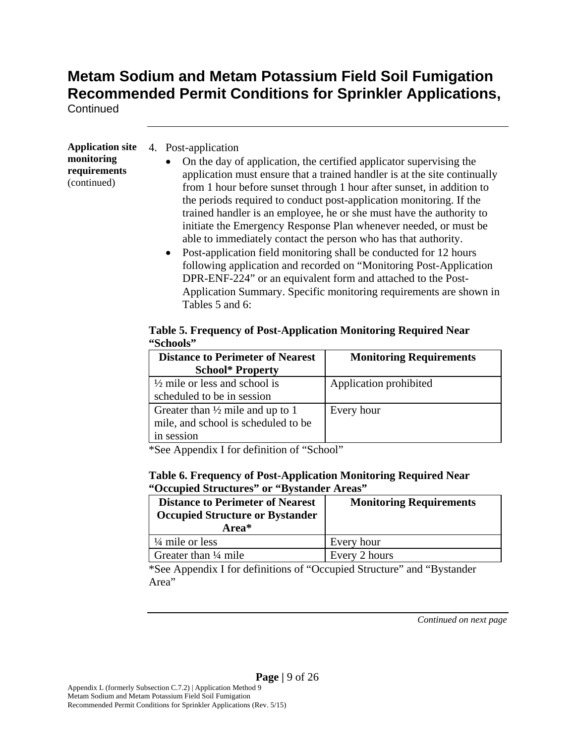**Continued** 

**Application site monitoring requirements**  (continued)

| 4. Post-application |
|---------------------|
|                     |

- On the day of application, the certified applicator supervising the application must ensure that a trained handler is at the site continually from 1 hour before sunset through 1 hour after sunset, in addition to the periods required to conduct post-application monitoring. If the trained handler is an employee, he or she must have the authority to initiate the Emergency Response Plan whenever needed, or must be able to immediately contact the person who has that authority.
- Post-application field monitoring shall be conducted for 12 hours following application and recorded on "Monitoring Post-Application DPR-ENF-224" or an equivalent form and attached to the Post-Application Summary. Specific monitoring requirements are shown in Tables 5 and 6:

#### **Table 5. Frequency of Post-Application Monitoring Required Near "Schools"**

| <b>Distance to Perimeter of Nearest</b>     | <b>Monitoring Requirements</b> |
|---------------------------------------------|--------------------------------|
| <b>School* Property</b>                     |                                |
| $\frac{1}{2}$ mile or less and school is    | Application prohibited         |
| scheduled to be in session                  |                                |
| Greater than $\frac{1}{2}$ mile and up to 1 | Every hour                     |
| mile, and school is scheduled to be         |                                |
| in session                                  |                                |

\*See Appendix I for definition of "School"

#### **Table 6. Frequency of Post-Application Monitoring Required Near "Occupied Structures" or "Bystander Areas"**

| <b>Distance to Perimeter of Nearest</b><br><b>Occupied Structure or Bystander</b><br>Area* | <b>Monitoring Requirements</b> |
|--------------------------------------------------------------------------------------------|--------------------------------|
| $\frac{1}{4}$ mile or less                                                                 | Every hour                     |
| Greater than $\frac{1}{4}$ mile                                                            | Every 2 hours                  |

\*See Appendix I for definitions of "Occupied Structure" and "Bystander Area"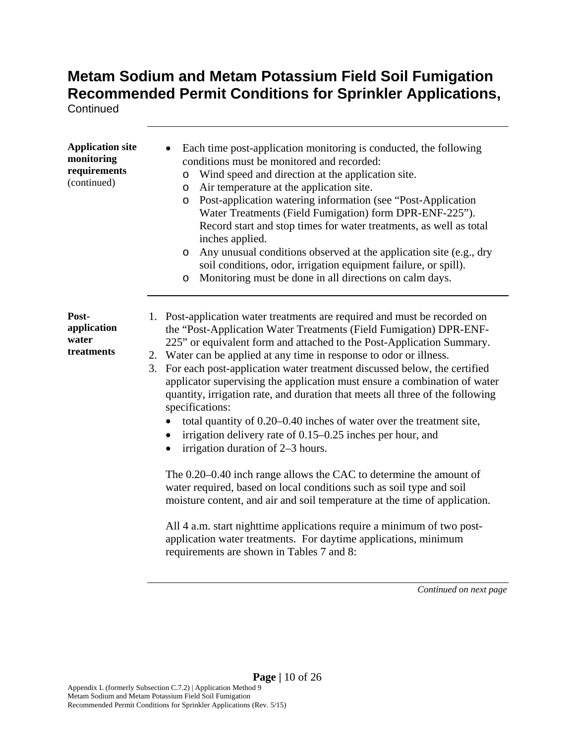**Continued** 

| <b>Application site</b><br>monitoring<br>requirements<br>(continued) | Each time post-application monitoring is conducted, the following<br>conditions must be monitored and recorded:<br>Wind speed and direction at the application site.<br>$\circ$<br>Air temperature at the application site.<br>$\circ$<br>Post-application watering information (see "Post-Application<br>O<br>Water Treatments (Field Fumigation) form DPR-ENF-225").<br>Record start and stop times for water treatments, as well as total<br>inches applied.<br>Any unusual conditions observed at the application site (e.g., dry<br>$\circ$<br>soil conditions, odor, irrigation equipment failure, or spill).<br>Monitoring must be done in all directions on calm days.<br>$\circ$                                                  |
|----------------------------------------------------------------------|--------------------------------------------------------------------------------------------------------------------------------------------------------------------------------------------------------------------------------------------------------------------------------------------------------------------------------------------------------------------------------------------------------------------------------------------------------------------------------------------------------------------------------------------------------------------------------------------------------------------------------------------------------------------------------------------------------------------------------------------|
| Post-<br>application<br>water<br>treatments                          | 1. Post-application water treatments are required and must be recorded on<br>the "Post-Application Water Treatments (Field Fumigation) DPR-ENF-<br>225" or equivalent form and attached to the Post-Application Summary.<br>2. Water can be applied at any time in response to odor or illness.<br>3. For each post-application water treatment discussed below, the certified<br>applicator supervising the application must ensure a combination of water<br>quantity, irrigation rate, and duration that meets all three of the following<br>specifications:<br>total quantity of 0.20–0.40 inches of water over the treatment site,<br>irrigation delivery rate of 0.15–0.25 inches per hour, and<br>irrigation duration of 2–3 hours. |
|                                                                      | The 0.20–0.40 inch range allows the CAC to determine the amount of<br>water required, based on local conditions such as soil type and soil<br>moisture content, and air and soil temperature at the time of application.<br>All 4 a.m. start nighttime applications require a minimum of two post-                                                                                                                                                                                                                                                                                                                                                                                                                                         |
|                                                                      | application water treatments. For daytime applications, minimum<br>requirements are shown in Tables 7 and 8:<br>Continued on next page                                                                                                                                                                                                                                                                                                                                                                                                                                                                                                                                                                                                     |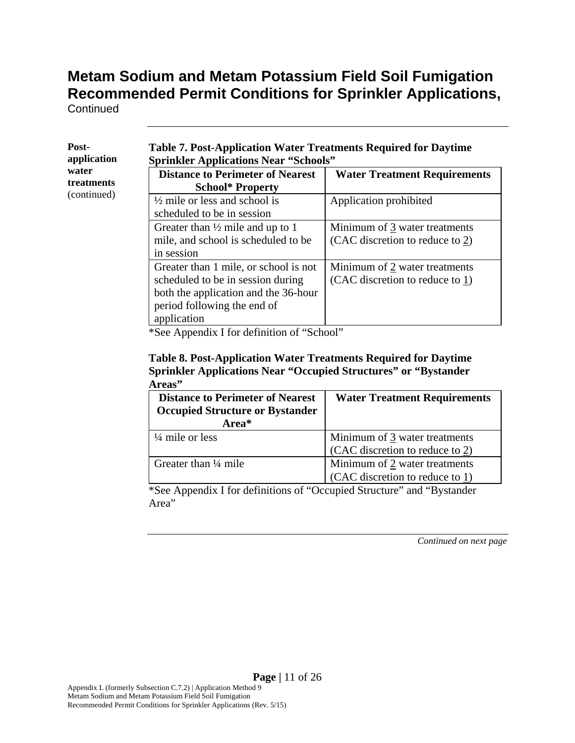**Continued** 

| Post-<br>application | <b>Table 7. Post-Application Water Treatments Required for Daytime</b><br><b>Sprinkler Applications Near "Schools"</b>                                           |                                                                     |  |  |  |  |  |  |  |  |  |
|----------------------|------------------------------------------------------------------------------------------------------------------------------------------------------------------|---------------------------------------------------------------------|--|--|--|--|--|--|--|--|--|
| water<br>treatments  | <b>Distance to Perimeter of Nearest</b><br><b>School* Property</b>                                                                                               | <b>Water Treatment Requirements</b>                                 |  |  |  |  |  |  |  |  |  |
| (continued)          | $\frac{1}{2}$ mile or less and school is<br>scheduled to be in session                                                                                           | Application prohibited                                              |  |  |  |  |  |  |  |  |  |
|                      | Greater than $\frac{1}{2}$ mile and up to 1<br>mile, and school is scheduled to be<br>in session                                                                 | Minimum of 3 water treatments<br>(CAC discretion to reduce to $2$ ) |  |  |  |  |  |  |  |  |  |
|                      | Greater than 1 mile, or school is not<br>scheduled to be in session during<br>both the application and the 36-hour<br>period following the end of<br>application | Minimum of 2 water treatments<br>(CAC discretion to reduce to 1)    |  |  |  |  |  |  |  |  |  |

\*See Appendix I for definition of "School"

#### **Table 8. Post-Application Water Treatments Required for Daytime Sprinkler Applications Near "Occupied Structures" or "Bystander Areas"**

| <b>Distance to Perimeter of Nearest</b><br><b>Occupied Structure or Bystander</b><br>Area* | <b>Water Treatment Requirements</b>                              |
|--------------------------------------------------------------------------------------------|------------------------------------------------------------------|
| $\frac{1}{4}$ mile or less                                                                 | Minimum of 3 water treatments<br>(CAC discretion to reduce to 2) |
|                                                                                            |                                                                  |
| Greater than $\frac{1}{4}$ mile                                                            | Minimum of 2 water treatments                                    |
|                                                                                            | (CAC discretion to reduce to 1)                                  |

\*See Appendix I for definitions of "Occupied Structure" and "Bystander Area"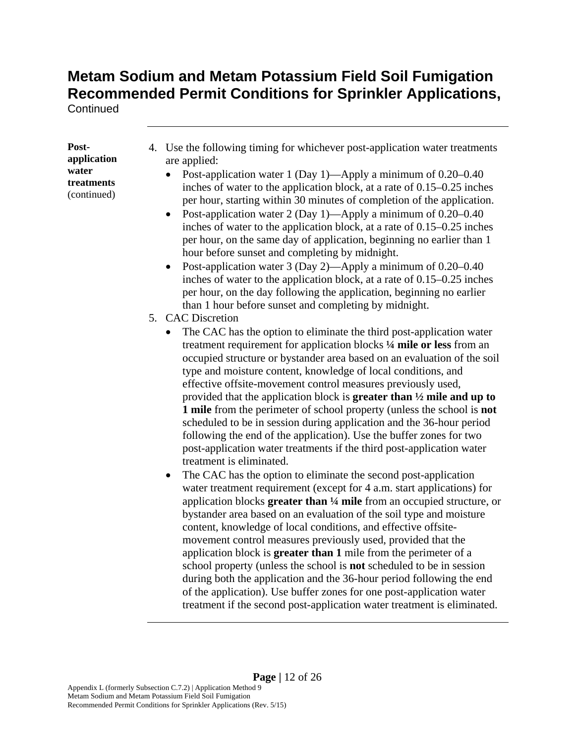**Continued** 

**Postapplication water treatments**  (continued)

- 4. Use the following timing for whichever post-application water treatments are applied:
	- Post-application water 1 (Day 1)—Apply a minimum of 0.20–0.40 inches of water to the application block, at a rate of 0.15–0.25 inches per hour, starting within 30 minutes of completion of the application.
	- Post-application water 2 (Day 1)—Apply a minimum of  $0.20-0.40$ inches of water to the application block, at a rate of 0.15–0.25 inches per hour, on the same day of application, beginning no earlier than 1 hour before sunset and completing by midnight.
	- Post-application water 3 (Day 2)—Apply a minimum of 0.20–0.40 inches of water to the application block, at a rate of 0.15–0.25 inches per hour, on the day following the application, beginning no earlier than 1 hour before sunset and completing by midnight.
- 5. CAC Discretion
	- The CAC has the option to eliminate the third post-application water treatment requirement for application blocks **¼ mile or less** from an occupied structure or bystander area based on an evaluation of the soil type and moisture content, knowledge of local conditions, and effective offsite-movement control measures previously used, provided that the application block is **greater than ½ mile and up to 1 mile** from the perimeter of school property (unless the school is **not**  scheduled to be in session during application and the 36-hour period following the end of the application). Use the buffer zones for two post-application water treatments if the third post-application water treatment is eliminated.
	- The CAC has the option to eliminate the second post-application water treatment requirement (except for 4 a.m. start applications) for application blocks **greater than ¼ mile** from an occupied structure, or bystander area based on an evaluation of the soil type and moisture content, knowledge of local conditions, and effective offsitemovement control measures previously used, provided that the application block is **greater than 1** mile from the perimeter of a school property (unless the school is **not** scheduled to be in session during both the application and the 36-hour period following the end of the application). Use buffer zones for one post-application water treatment if the second post-application water treatment is eliminated.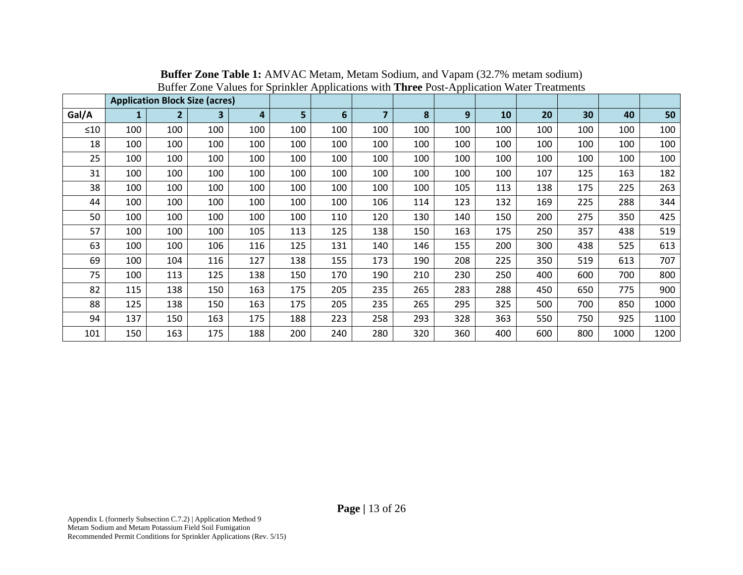|       |     |                | <b>Application Block Size (acres)</b> |     |     |     |                |     |     |     |     |     |      |      |
|-------|-----|----------------|---------------------------------------|-----|-----|-----|----------------|-----|-----|-----|-----|-----|------|------|
| Gal/A |     | $\overline{2}$ | 3                                     | 4   | 5   | 6   | $\overline{7}$ | 8   | 9   | 10  | 20  | 30  | 40   | 50   |
| ≤10   | 100 | 100            | 100                                   | 100 | 100 | 100 | 100            | 100 | 100 | 100 | 100 | 100 | 100  | 100  |
| 18    | 100 | 100            | 100                                   | 100 | 100 | 100 | 100            | 100 | 100 | 100 | 100 | 100 | 100  | 100  |
| 25    | 100 | 100            | 100                                   | 100 | 100 | 100 | 100            | 100 | 100 | 100 | 100 | 100 | 100  | 100  |
| 31    | 100 | 100            | 100                                   | 100 | 100 | 100 | 100            | 100 | 100 | 100 | 107 | 125 | 163  | 182  |
| 38    | 100 | 100            | 100                                   | 100 | 100 | 100 | 100            | 100 | 105 | 113 | 138 | 175 | 225  | 263  |
| 44    | 100 | 100            | 100                                   | 100 | 100 | 100 | 106            | 114 | 123 | 132 | 169 | 225 | 288  | 344  |
| 50    | 100 | 100            | 100                                   | 100 | 100 | 110 | 120            | 130 | 140 | 150 | 200 | 275 | 350  | 425  |
| 57    | 100 | 100            | 100                                   | 105 | 113 | 125 | 138            | 150 | 163 | 175 | 250 | 357 | 438  | 519  |
| 63    | 100 | 100            | 106                                   | 116 | 125 | 131 | 140            | 146 | 155 | 200 | 300 | 438 | 525  | 613  |
| 69    | 100 | 104            | 116                                   | 127 | 138 | 155 | 173            | 190 | 208 | 225 | 350 | 519 | 613  | 707  |
| 75    | 100 | 113            | 125                                   | 138 | 150 | 170 | 190            | 210 | 230 | 250 | 400 | 600 | 700  | 800  |
| 82    | 115 | 138            | 150                                   | 163 | 175 | 205 | 235            | 265 | 283 | 288 | 450 | 650 | 775  | 900  |
| 88    | 125 | 138            | 150                                   | 163 | 175 | 205 | 235            | 265 | 295 | 325 | 500 | 700 | 850  | 1000 |
| 94    | 137 | 150            | 163                                   | 175 | 188 | 223 | 258            | 293 | 328 | 363 | 550 | 750 | 925  | 1100 |
| 101   | 150 | 163            | 175                                   | 188 | 200 | 240 | 280            | 320 | 360 | 400 | 600 | 800 | 1000 | 1200 |

**Buffer Zone Table 1:** AMVAC Metam, Metam Sodium, and Vapam (32.7% metam sodium) Buffer Zone Values for Sprinkler Applications with **Three** Post-Application Water Treatments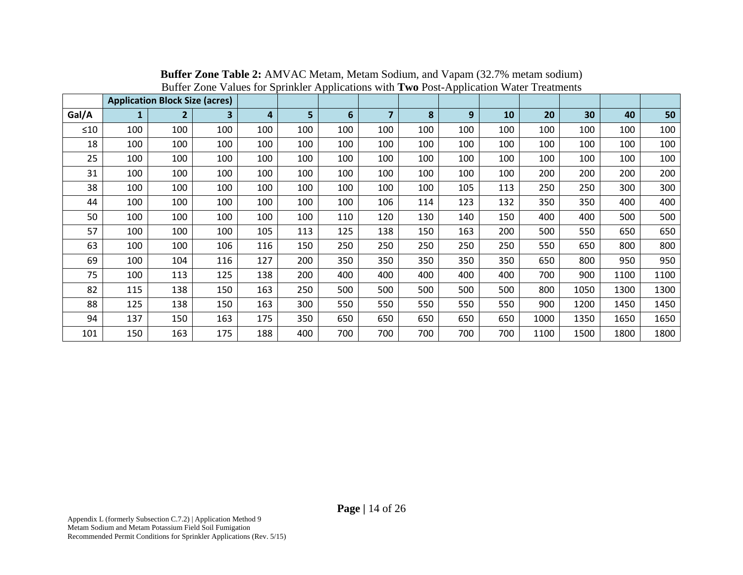|           |     | <b>Application Block Size (acres)</b> |                         |     |     | гг  |     |     |     |     |      |      |      |      |
|-----------|-----|---------------------------------------|-------------------------|-----|-----|-----|-----|-----|-----|-----|------|------|------|------|
| Gal/A     | 1   | $\overline{2}$                        | $\overline{\mathbf{3}}$ | 4   | 5   | 6   | 7   | 8   | 9   | 10  | 20   | 30   | 40   | 50   |
| $\leq 10$ | 100 | 100                                   | 100                     | 100 | 100 | 100 | 100 | 100 | 100 | 100 | 100  | 100  | 100  | 100  |
| 18        | 100 | 100                                   | 100                     | 100 | 100 | 100 | 100 | 100 | 100 | 100 | 100  | 100  | 100  | 100  |
| 25        | 100 | 100                                   | 100                     | 100 | 100 | 100 | 100 | 100 | 100 | 100 | 100  | 100  | 100  | 100  |
| 31        | 100 | 100                                   | 100                     | 100 | 100 | 100 | 100 | 100 | 100 | 100 | 200  | 200  | 200  | 200  |
| 38        | 100 | 100                                   | 100                     | 100 | 100 | 100 | 100 | 100 | 105 | 113 | 250  | 250  | 300  | 300  |
| 44        | 100 | 100                                   | 100                     | 100 | 100 | 100 | 106 | 114 | 123 | 132 | 350  | 350  | 400  | 400  |
| 50        | 100 | 100                                   | 100                     | 100 | 100 | 110 | 120 | 130 | 140 | 150 | 400  | 400  | 500  | 500  |
| 57        | 100 | 100                                   | 100                     | 105 | 113 | 125 | 138 | 150 | 163 | 200 | 500  | 550  | 650  | 650  |
| 63        | 100 | 100                                   | 106                     | 116 | 150 | 250 | 250 | 250 | 250 | 250 | 550  | 650  | 800  | 800  |
| 69        | 100 | 104                                   | 116                     | 127 | 200 | 350 | 350 | 350 | 350 | 350 | 650  | 800  | 950  | 950  |
| 75        | 100 | 113                                   | 125                     | 138 | 200 | 400 | 400 | 400 | 400 | 400 | 700  | 900  | 1100 | 1100 |
| 82        | 115 | 138                                   | 150                     | 163 | 250 | 500 | 500 | 500 | 500 | 500 | 800  | 1050 | 1300 | 1300 |
| 88        | 125 | 138                                   | 150                     | 163 | 300 | 550 | 550 | 550 | 550 | 550 | 900  | 1200 | 1450 | 1450 |
| 94        | 137 | 150                                   | 163                     | 175 | 350 | 650 | 650 | 650 | 650 | 650 | 1000 | 1350 | 1650 | 1650 |
| 101       | 150 | 163                                   | 175                     | 188 | 400 | 700 | 700 | 700 | 700 | 700 | 1100 | 1500 | 1800 | 1800 |

**Buffer Zone Table 2:** AMVAC Metam, Metam Sodium, and Vapam (32.7% metam sodium) Buffer Zone Values for Sprinkler Applications with **Two** Post-Application Water Treatments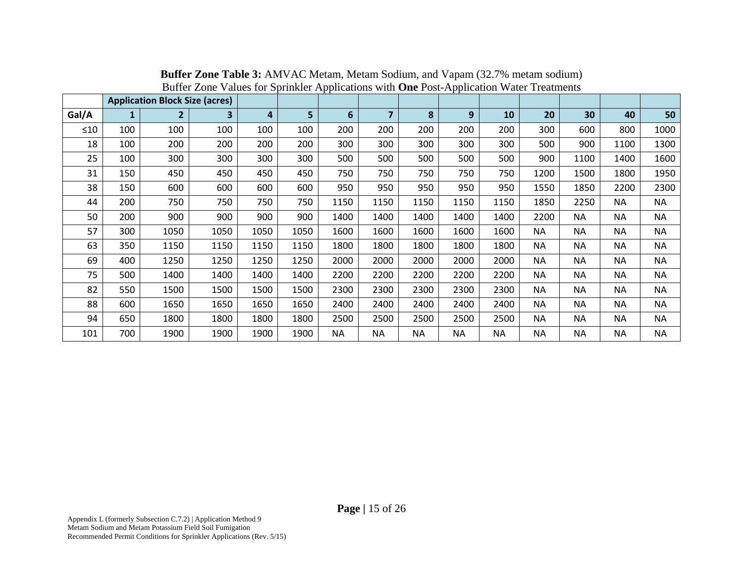|           |              |                                       |                         | . .  |      |           |                |           |           |           |           |           |           |           |
|-----------|--------------|---------------------------------------|-------------------------|------|------|-----------|----------------|-----------|-----------|-----------|-----------|-----------|-----------|-----------|
|           |              | <b>Application Block Size (acres)</b> |                         |      |      |           |                |           |           |           |           |           |           |           |
| Gal/A     | $\mathbf{1}$ | $\overline{2}$                        | $\overline{\mathbf{3}}$ | 4    | 5    | 6         | $\overline{7}$ | 8         | 9         | 10        | 20        | 30        | 40        | 50        |
| $\leq 10$ | 100          | 100                                   | 100                     | 100  | 100  | 200       | 200            | 200       | 200       | 200       | 300       | 600       | 800       | 1000      |
| 18        | 100          | 200                                   | 200                     | 200  | 200  | 300       | 300            | 300       | 300       | 300       | 500       | 900       | 1100      | 1300      |
| 25        | 100          | 300                                   | 300                     | 300  | 300  | 500       | 500            | 500       | 500       | 500       | 900       | 1100      | 1400      | 1600      |
| 31        | 150          | 450                                   | 450                     | 450  | 450  | 750       | 750            | 750       | 750       | 750       | 1200      | 1500      | 1800      | 1950      |
| 38        | 150          | 600                                   | 600                     | 600  | 600  | 950       | 950            | 950       | 950       | 950       | 1550      | 1850      | 2200      | 2300      |
| 44        | 200          | 750                                   | 750                     | 750  | 750  | 1150      | 1150           | 1150      | 1150      | 1150      | 1850      | 2250      | <b>NA</b> | NA        |
| 50        | 200          | 900                                   | 900                     | 900  | 900  | 1400      | 1400           | 1400      | 1400      | 1400      | 2200      | <b>NA</b> | <b>NA</b> | <b>NA</b> |
| 57        | 300          | 1050                                  | 1050                    | 1050 | 1050 | 1600      | 1600           | 1600      | 1600      | 1600      | <b>NA</b> | <b>NA</b> | <b>NA</b> | ΝA        |
| 63        | 350          | 1150                                  | 1150                    | 1150 | 1150 | 1800      | 1800           | 1800      | 1800      | 1800      | <b>NA</b> | <b>NA</b> | <b>NA</b> | <b>NA</b> |
| 69        | 400          | 1250                                  | 1250                    | 1250 | 1250 | 2000      | 2000           | 2000      | 2000      | 2000      | <b>NA</b> | <b>NA</b> | <b>NA</b> | <b>NA</b> |
| 75        | 500          | 1400                                  | 1400                    | 1400 | 1400 | 2200      | 2200           | 2200      | 2200      | 2200      | <b>NA</b> | <b>NA</b> | <b>NA</b> | <b>NA</b> |
| 82        | 550          | 1500                                  | 1500                    | 1500 | 1500 | 2300      | 2300           | 2300      | 2300      | 2300      | <b>NA</b> | <b>NA</b> | <b>NA</b> | <b>NA</b> |
| 88        | 600          | 1650                                  | 1650                    | 1650 | 1650 | 2400      | 2400           | 2400      | 2400      | 2400      | <b>NA</b> | <b>NA</b> | <b>NA</b> | ΝA        |
| 94        | 650          | 1800                                  | 1800                    | 1800 | 1800 | 2500      | 2500           | 2500      | 2500      | 2500      | ΝA        | <b>NA</b> | <b>NA</b> | <b>NA</b> |
| 101       | 700          | 1900                                  | 1900                    | 1900 | 1900 | <b>NA</b> | <b>NA</b>      | <b>NA</b> | <b>NA</b> | <b>NA</b> | <b>NA</b> | <b>NA</b> | <b>NA</b> | <b>NA</b> |

**Buffer Zone Table 3:** AMVAC Metam, Metam Sodium, and Vapam (32.7% metam sodium) Buffer Zone Values for Sprinkler Applications with **One** Post-Application Water Treatments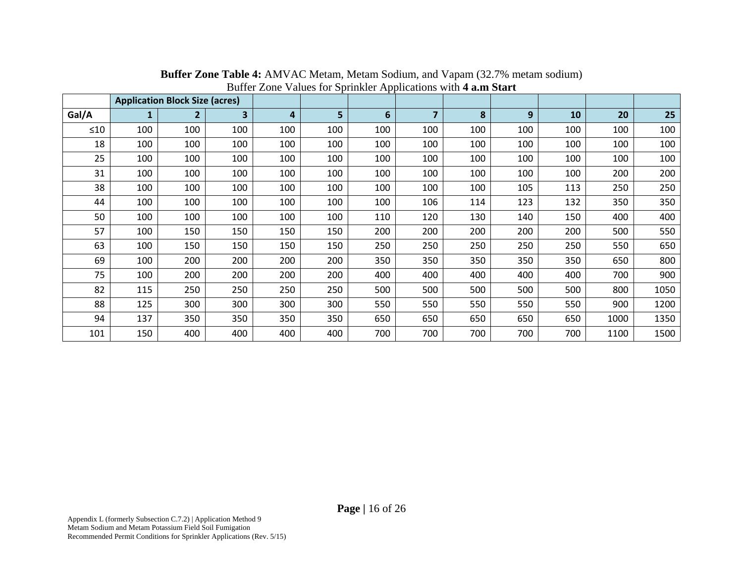|           |     | <b>Application Block Size (acres)</b> |     |     |     |     |                |     |     |     |      |      |
|-----------|-----|---------------------------------------|-----|-----|-----|-----|----------------|-----|-----|-----|------|------|
| Gal/A     | 1   | $\overline{2}$                        | 3   | 4   | 5   | 6   | $\overline{7}$ | 8   | 9   | 10  | 20   | 25   |
| $\leq 10$ | 100 | 100                                   | 100 | 100 | 100 | 100 | 100            | 100 | 100 | 100 | 100  | 100  |
| 18        | 100 | 100                                   | 100 | 100 | 100 | 100 | 100            | 100 | 100 | 100 | 100  | 100  |
| 25        | 100 | 100                                   | 100 | 100 | 100 | 100 | 100            | 100 | 100 | 100 | 100  | 100  |
| 31        | 100 | 100                                   | 100 | 100 | 100 | 100 | 100            | 100 | 100 | 100 | 200  | 200  |
| 38        | 100 | 100                                   | 100 | 100 | 100 | 100 | 100            | 100 | 105 | 113 | 250  | 250  |
| 44        | 100 | 100                                   | 100 | 100 | 100 | 100 | 106            | 114 | 123 | 132 | 350  | 350  |
| 50        | 100 | 100                                   | 100 | 100 | 100 | 110 | 120            | 130 | 140 | 150 | 400  | 400  |
| 57        | 100 | 150                                   | 150 | 150 | 150 | 200 | 200            | 200 | 200 | 200 | 500  | 550  |
| 63        | 100 | 150                                   | 150 | 150 | 150 | 250 | 250            | 250 | 250 | 250 | 550  | 650  |
| 69        | 100 | 200                                   | 200 | 200 | 200 | 350 | 350            | 350 | 350 | 350 | 650  | 800  |
| 75        | 100 | 200                                   | 200 | 200 | 200 | 400 | 400            | 400 | 400 | 400 | 700  | 900  |
| 82        | 115 | 250                                   | 250 | 250 | 250 | 500 | 500            | 500 | 500 | 500 | 800  | 1050 |
| 88        | 125 | 300                                   | 300 | 300 | 300 | 550 | 550            | 550 | 550 | 550 | 900  | 1200 |
| 94        | 137 | 350                                   | 350 | 350 | 350 | 650 | 650            | 650 | 650 | 650 | 1000 | 1350 |
| 101       | 150 | 400                                   | 400 | 400 | 400 | 700 | 700            | 700 | 700 | 700 | 1100 | 1500 |

**Buffer Zone Table 4:** AMVAC Metam, Metam Sodium, and Vapam (32.7% metam sodium) Buffer Zone Values for Sprinkler Applications with **4 a.m Start**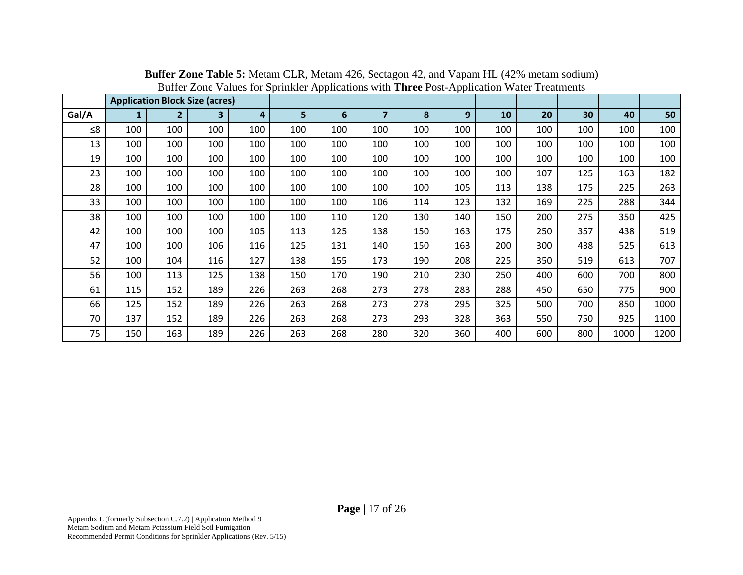|       |     |                | <b>Application Block Size (acres)</b> |     |     |     |                |     |     |     |     |     |      |      |
|-------|-----|----------------|---------------------------------------|-----|-----|-----|----------------|-----|-----|-----|-----|-----|------|------|
| Gal/A |     | $\overline{2}$ | 3                                     | 4   | 5   | 6   | $\overline{7}$ | 8   | 9   | 10  | 20  | 30  | 40   | 50   |
| ≤ $8$ | 100 | 100            | 100                                   | 100 | 100 | 100 | 100            | 100 | 100 | 100 | 100 | 100 | 100  | 100  |
| 13    | 100 | 100            | 100                                   | 100 | 100 | 100 | 100            | 100 | 100 | 100 | 100 | 100 | 100  | 100  |
| 19    | 100 | 100            | 100                                   | 100 | 100 | 100 | 100            | 100 | 100 | 100 | 100 | 100 | 100  | 100  |
| 23    | 100 | 100            | 100                                   | 100 | 100 | 100 | 100            | 100 | 100 | 100 | 107 | 125 | 163  | 182  |
| 28    | 100 | 100            | 100                                   | 100 | 100 | 100 | 100            | 100 | 105 | 113 | 138 | 175 | 225  | 263  |
| 33    | 100 | 100            | 100                                   | 100 | 100 | 100 | 106            | 114 | 123 | 132 | 169 | 225 | 288  | 344  |
| 38    | 100 | 100            | 100                                   | 100 | 100 | 110 | 120            | 130 | 140 | 150 | 200 | 275 | 350  | 425  |
| 42    | 100 | 100            | 100                                   | 105 | 113 | 125 | 138            | 150 | 163 | 175 | 250 | 357 | 438  | 519  |
| 47    | 100 | 100            | 106                                   | 116 | 125 | 131 | 140            | 150 | 163 | 200 | 300 | 438 | 525  | 613  |
| 52    | 100 | 104            | 116                                   | 127 | 138 | 155 | 173            | 190 | 208 | 225 | 350 | 519 | 613  | 707  |
| 56    | 100 | 113            | 125                                   | 138 | 150 | 170 | 190            | 210 | 230 | 250 | 400 | 600 | 700  | 800  |
| 61    | 115 | 152            | 189                                   | 226 | 263 | 268 | 273            | 278 | 283 | 288 | 450 | 650 | 775  | 900  |
| 66    | 125 | 152            | 189                                   | 226 | 263 | 268 | 273            | 278 | 295 | 325 | 500 | 700 | 850  | 1000 |
| 70    | 137 | 152            | 189                                   | 226 | 263 | 268 | 273            | 293 | 328 | 363 | 550 | 750 | 925  | 1100 |
| 75    | 150 | 163            | 189                                   | 226 | 263 | 268 | 280            | 320 | 360 | 400 | 600 | 800 | 1000 | 1200 |

**Buffer Zone Table 5:** Metam CLR, Metam 426, Sectagon 42, and Vapam HL (42% metam sodium) Buffer Zone Values for Sprinkler Applications with **Three** Post-Application Water Treatments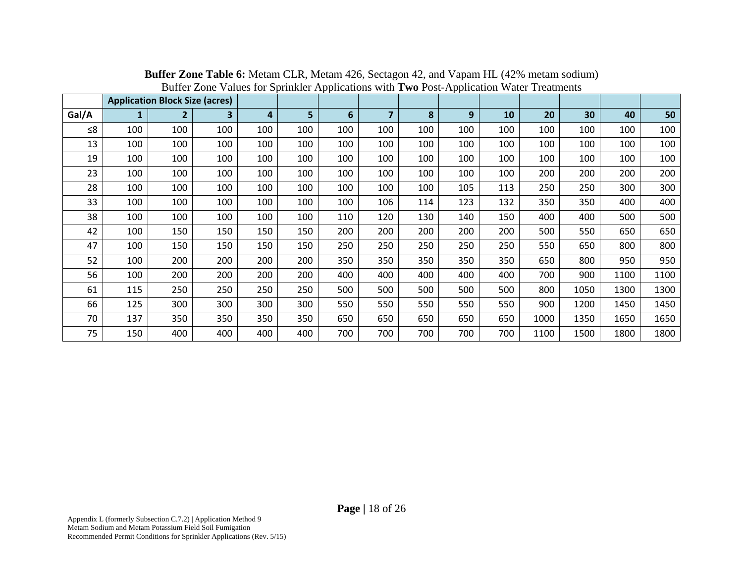|          |              | <b>Application Block Size (acres)</b> |     |     |     | ւ ւ |                |     |     |     |      |      |      |      |
|----------|--------------|---------------------------------------|-----|-----|-----|-----|----------------|-----|-----|-----|------|------|------|------|
| Gal/A    | $\mathbf{1}$ | $\overline{2}$                        | 3   | 4   | 5   | 6   | $\overline{7}$ | 8   | 9   | 10  | 20   | 30   | 40   | 50   |
| $\leq 8$ | 100          | 100                                   | 100 | 100 | 100 | 100 | 100            | 100 | 100 | 100 | 100  | 100  | 100  | 100  |
| 13       | 100          | 100                                   | 100 | 100 | 100 | 100 | 100            | 100 | 100 | 100 | 100  | 100  | 100  | 100  |
| 19       | 100          | 100                                   | 100 | 100 | 100 | 100 | 100            | 100 | 100 | 100 | 100  | 100  | 100  | 100  |
| 23       | 100          | 100                                   | 100 | 100 | 100 | 100 | 100            | 100 | 100 | 100 | 200  | 200  | 200  | 200  |
| 28       | 100          | 100                                   | 100 | 100 | 100 | 100 | 100            | 100 | 105 | 113 | 250  | 250  | 300  | 300  |
| 33       | 100          | 100                                   | 100 | 100 | 100 | 100 | 106            | 114 | 123 | 132 | 350  | 350  | 400  | 400  |
| 38       | 100          | 100                                   | 100 | 100 | 100 | 110 | 120            | 130 | 140 | 150 | 400  | 400  | 500  | 500  |
| 42       | 100          | 150                                   | 150 | 150 | 150 | 200 | 200            | 200 | 200 | 200 | 500  | 550  | 650  | 650  |
| 47       | 100          | 150                                   | 150 | 150 | 150 | 250 | 250            | 250 | 250 | 250 | 550  | 650  | 800  | 800  |
| 52       | 100          | 200                                   | 200 | 200 | 200 | 350 | 350            | 350 | 350 | 350 | 650  | 800  | 950  | 950  |
| 56       | 100          | 200                                   | 200 | 200 | 200 | 400 | 400            | 400 | 400 | 400 | 700  | 900  | 1100 | 1100 |
| 61       | 115          | 250                                   | 250 | 250 | 250 | 500 | 500            | 500 | 500 | 500 | 800  | 1050 | 1300 | 1300 |
| 66       | 125          | 300                                   | 300 | 300 | 300 | 550 | 550            | 550 | 550 | 550 | 900  | 1200 | 1450 | 1450 |
| 70       | 137          | 350                                   | 350 | 350 | 350 | 650 | 650            | 650 | 650 | 650 | 1000 | 1350 | 1650 | 1650 |
| 75       | 150          | 400                                   | 400 | 400 | 400 | 700 | 700            | 700 | 700 | 700 | 1100 | 1500 | 1800 | 1800 |

**Buffer Zone Table 6:** Metam CLR, Metam 426, Sectagon 42, and Vapam HL (42% metam sodium) Buffer Zone Values for Sprinkler Applications with **Two** Post-Application Water Treatments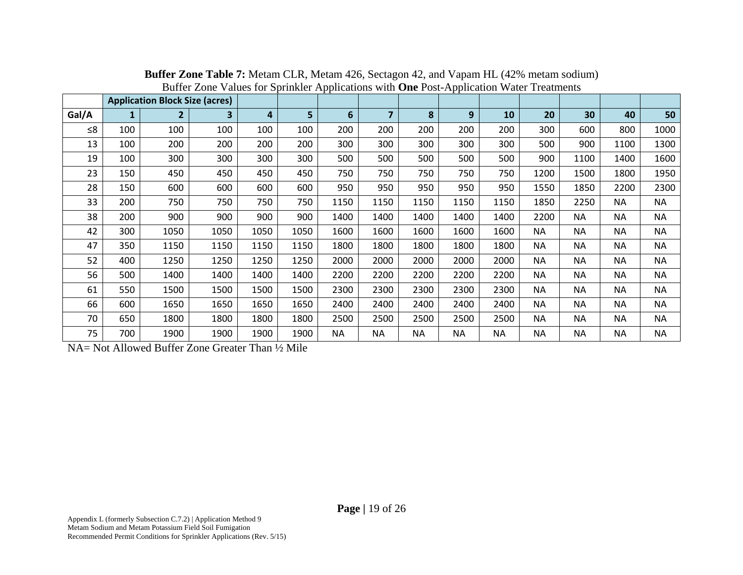|       |              | <b>Application Block Size (acres)</b> |      |      |      |           |           |           |           |           |           |           |           |           |
|-------|--------------|---------------------------------------|------|------|------|-----------|-----------|-----------|-----------|-----------|-----------|-----------|-----------|-----------|
| Gal/A | $\mathbf{1}$ | $\overline{2}$                        | 3    | 4    | 5    | 6         | 7         | 8         | 9         | 10        | 20        | 30        | 40        | 50        |
| ≤ $8$ | 100          | 100                                   | 100  | 100  | 100  | 200       | 200       | 200       | 200       | 200       | 300       | 600       | 800       | 1000      |
| 13    | 100          | 200                                   | 200  | 200  | 200  | 300       | 300       | 300       | 300       | 300       | 500       | 900       | 1100      | 1300      |
| 19    | 100          | 300                                   | 300  | 300  | 300  | 500       | 500       | 500       | 500       | 500       | 900       | 1100      | 1400      | 1600      |
| 23    | 150          | 450                                   | 450  | 450  | 450  | 750       | 750       | 750       | 750       | 750       | 1200      | 1500      | 1800      | 1950      |
| 28    | 150          | 600                                   | 600  | 600  | 600  | 950       | 950       | 950       | 950       | 950       | 1550      | 1850      | 2200      | 2300      |
| 33    | 200          | 750                                   | 750  | 750  | 750  | 1150      | 1150      | 1150      | 1150      | 1150      | 1850      | 2250      | <b>NA</b> | <b>NA</b> |
| 38    | 200          | 900                                   | 900  | 900  | 900  | 1400      | 1400      | 1400      | 1400      | 1400      | 2200      | <b>NA</b> | <b>NA</b> | <b>NA</b> |
| 42    | 300          | 1050                                  | 1050 | 1050 | 1050 | 1600      | 1600      | 1600      | 1600      | 1600      | <b>NA</b> | <b>NA</b> | <b>NA</b> | <b>NA</b> |
| 47    | 350          | 1150                                  | 1150 | 1150 | 1150 | 1800      | 1800      | 1800      | 1800      | 1800      | <b>NA</b> | <b>NA</b> | <b>NA</b> | <b>NA</b> |
| 52    | 400          | 1250                                  | 1250 | 1250 | 1250 | 2000      | 2000      | 2000      | 2000      | 2000      | NA.       | <b>NA</b> | <b>NA</b> | <b>NA</b> |
| 56    | 500          | 1400                                  | 1400 | 1400 | 1400 | 2200      | 2200      | 2200      | 2200      | 2200      | <b>NA</b> | <b>NA</b> | NA        | <b>NA</b> |
| 61    | 550          | 1500                                  | 1500 | 1500 | 1500 | 2300      | 2300      | 2300      | 2300      | 2300      | <b>NA</b> | <b>NA</b> | <b>NA</b> | <b>NA</b> |
| 66    | 600          | 1650                                  | 1650 | 1650 | 1650 | 2400      | 2400      | 2400      | 2400      | 2400      | <b>NA</b> | <b>NA</b> | <b>NA</b> | <b>NA</b> |
| 70    | 650          | 1800                                  | 1800 | 1800 | 1800 | 2500      | 2500      | 2500      | 2500      | 2500      | <b>NA</b> | <b>NA</b> | <b>NA</b> | <b>NA</b> |
| 75    | 700          | 1900                                  | 1900 | 1900 | 1900 | <b>NA</b> | <b>NA</b> | <b>NA</b> | <b>NA</b> | <b>NA</b> | <b>NA</b> | <b>NA</b> | <b>NA</b> | <b>NA</b> |

**Buffer Zone Table 7:** Metam CLR, Metam 426, Sectagon 42, and Vapam HL (42% metam sodium) Buffer Zone Values for Sprinkler Applications with **One** Post-Application Water Treatments

NA= Not Allowed Buffer Zone Greater Than ½ Mile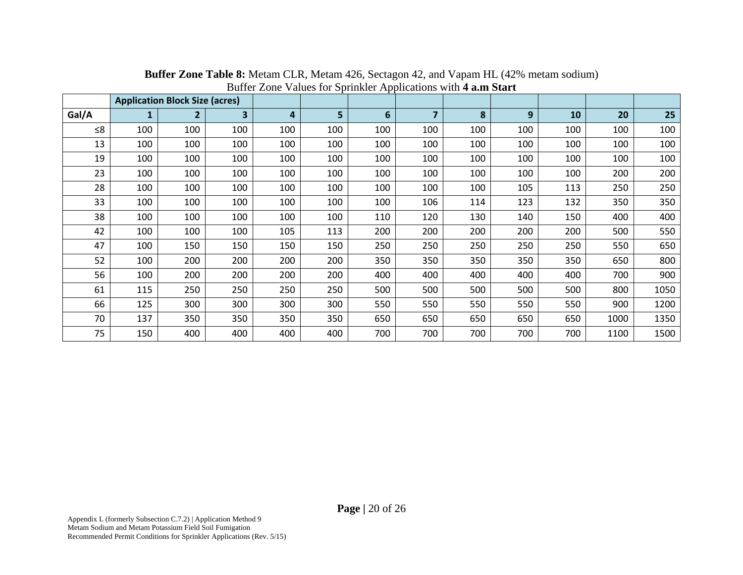|          |     | <b>Application Block Size (acres)</b> |                         |     |     |     |                |     |     |     |      |      |
|----------|-----|---------------------------------------|-------------------------|-----|-----|-----|----------------|-----|-----|-----|------|------|
| Gal/A    | 1   | $\overline{2}$                        | $\overline{\mathbf{3}}$ | 4   | 5   | 6   | $\overline{7}$ | 8   | 9   | 10  | 20   | 25   |
| $\leq 8$ | 100 | 100                                   | 100                     | 100 | 100 | 100 | 100            | 100 | 100 | 100 | 100  | 100  |
| 13       | 100 | 100                                   | 100                     | 100 | 100 | 100 | 100            | 100 | 100 | 100 | 100  | 100  |
| 19       | 100 | 100                                   | 100                     | 100 | 100 | 100 | 100            | 100 | 100 | 100 | 100  | 100  |
| 23       | 100 | 100                                   | 100                     | 100 | 100 | 100 | 100            | 100 | 100 | 100 | 200  | 200  |
| 28       | 100 | 100                                   | 100                     | 100 | 100 | 100 | 100            | 100 | 105 | 113 | 250  | 250  |
| 33       | 100 | 100                                   | 100                     | 100 | 100 | 100 | 106            | 114 | 123 | 132 | 350  | 350  |
| 38       | 100 | 100                                   | 100                     | 100 | 100 | 110 | 120            | 130 | 140 | 150 | 400  | 400  |
| 42       | 100 | 100                                   | 100                     | 105 | 113 | 200 | 200            | 200 | 200 | 200 | 500  | 550  |
| 47       | 100 | 150                                   | 150                     | 150 | 150 | 250 | 250            | 250 | 250 | 250 | 550  | 650  |
| 52       | 100 | 200                                   | 200                     | 200 | 200 | 350 | 350            | 350 | 350 | 350 | 650  | 800  |
| 56       | 100 | 200                                   | 200                     | 200 | 200 | 400 | 400            | 400 | 400 | 400 | 700  | 900  |
| 61       | 115 | 250                                   | 250                     | 250 | 250 | 500 | 500            | 500 | 500 | 500 | 800  | 1050 |
| 66       | 125 | 300                                   | 300                     | 300 | 300 | 550 | 550            | 550 | 550 | 550 | 900  | 1200 |
| 70       | 137 | 350                                   | 350                     | 350 | 350 | 650 | 650            | 650 | 650 | 650 | 1000 | 1350 |
| 75       | 150 | 400                                   | 400                     | 400 | 400 | 700 | 700            | 700 | 700 | 700 | 1100 | 1500 |

**Buffer Zone Table 8:** Metam CLR, Metam 426, Sectagon 42, and Vapam HL (42% metam sodium) Buffer Zone Values for Sprinkler Applications with **4 a.m Start**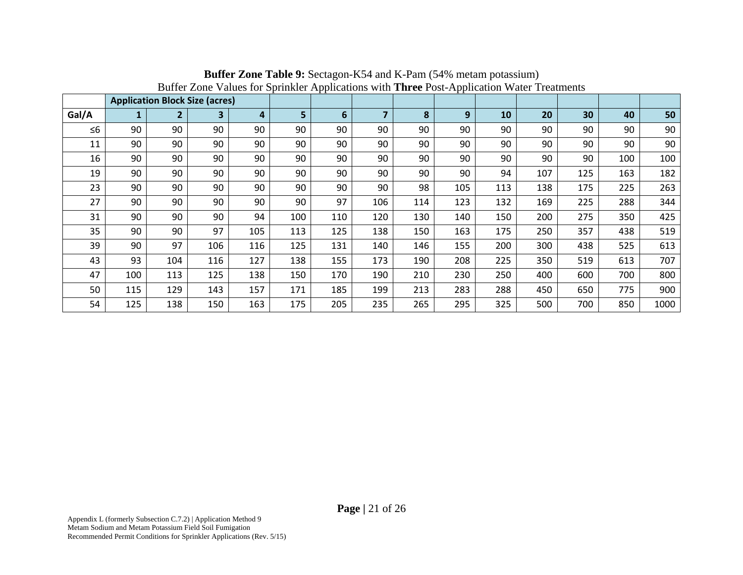|          |     |                | <b>Application Block Size (acres)</b> |     |     |     |                |     |     |     |     |     |     |      |
|----------|-----|----------------|---------------------------------------|-----|-----|-----|----------------|-----|-----|-----|-----|-----|-----|------|
| Gal/A    | 1   | $\overline{2}$ | 3                                     | 4   | 5   | 6   | $\overline{7}$ | 8   | 9   | 10  | 20  | 30  | 40  | 50   |
| $\leq 6$ | 90  | 90             | 90                                    | 90  | 90  | 90  | 90             | 90  | 90  | 90  | 90  | 90  | 90  | 90   |
| 11       | 90  | 90             | 90                                    | 90  | 90  | 90  | 90             | 90  | 90  | 90  | 90  | 90  | 90  | 90   |
| 16       | 90  | 90             | 90                                    | 90  | 90  | 90  | 90             | 90  | 90  | 90  | 90  | 90  | 100 | 100  |
| 19       | 90  | 90             | 90                                    | 90  | 90  | 90  | 90             | 90  | 90  | 94  | 107 | 125 | 163 | 182  |
| 23       | 90  | 90             | 90                                    | 90  | 90  | 90  | 90             | 98  | 105 | 113 | 138 | 175 | 225 | 263  |
| 27       | 90  | 90             | 90                                    | 90  | 90  | 97  | 106            | 114 | 123 | 132 | 169 | 225 | 288 | 344  |
| 31       | 90  | 90             | 90                                    | 94  | 100 | 110 | 120            | 130 | 140 | 150 | 200 | 275 | 350 | 425  |
| 35       | 90  | 90             | 97                                    | 105 | 113 | 125 | 138            | 150 | 163 | 175 | 250 | 357 | 438 | 519  |
| 39       | 90  | 97             | 106                                   | 116 | 125 | 131 | 140            | 146 | 155 | 200 | 300 | 438 | 525 | 613  |
| 43       | 93  | 104            | 116                                   | 127 | 138 | 155 | 173            | 190 | 208 | 225 | 350 | 519 | 613 | 707  |
| 47       | 100 | 113            | 125                                   | 138 | 150 | 170 | 190            | 210 | 230 | 250 | 400 | 600 | 700 | 800  |
| 50       | 115 | 129            | 143                                   | 157 | 171 | 185 | 199            | 213 | 283 | 288 | 450 | 650 | 775 | 900  |
| 54       | 125 | 138            | 150                                   | 163 | 175 | 205 | 235            | 265 | 295 | 325 | 500 | 700 | 850 | 1000 |

**Buffer Zone Table 9:** Sectagon-K54 and K-Pam (54% metam potassium) Buffer Zone Values for Sprinkler Applications with **Three** Post-Application Water Treatments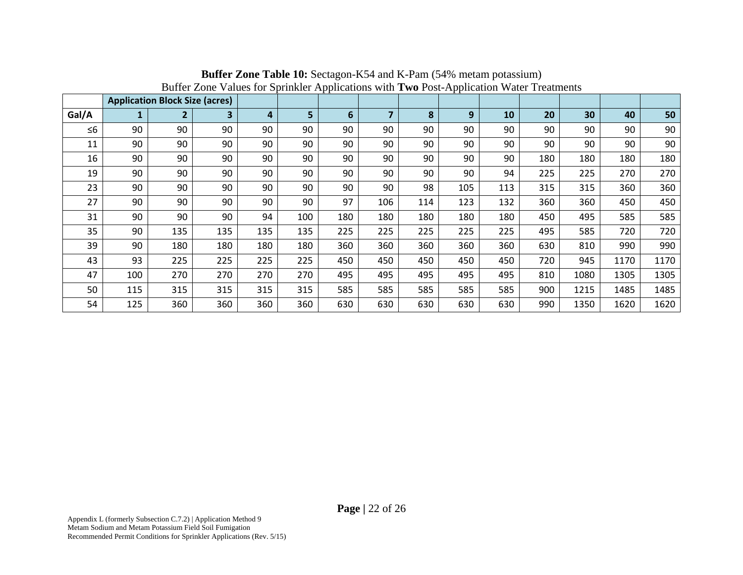|          | <b>Application Block Size (acres)</b> |                |     |     |     |     |                |     |     |     |     |      |      |      |
|----------|---------------------------------------|----------------|-----|-----|-----|-----|----------------|-----|-----|-----|-----|------|------|------|
| Gal/A    | $\mathbf{1}$                          | $\overline{2}$ | 3   | 4   | 5   | 6   | $\overline{7}$ | 8   | 9   | 10  | 20  | 30   | 40   | 50   |
| $\leq 6$ | 90                                    | 90             | 90  | 90  | 90  | 90  | 90             | 90  | 90  | 90  | 90  | 90   | 90   | 90   |
| 11       | 90                                    | 90             | 90  | 90  | 90  | 90  | 90             | 90  | 90  | 90  | 90  | 90   | 90   | 90   |
| 16       | 90                                    | 90             | 90  | 90  | 90  | 90  | 90             | 90  | 90  | 90  | 180 | 180  | 180  | 180  |
| 19       | 90                                    | 90             | 90  | 90  | 90  | 90  | 90             | 90  | 90  | 94  | 225 | 225  | 270  | 270  |
| 23       | 90                                    | 90             | 90  | 90  | 90  | 90  | 90             | 98  | 105 | 113 | 315 | 315  | 360  | 360  |
| 27       | 90                                    | 90             | 90  | 90  | 90  | 97  | 106            | 114 | 123 | 132 | 360 | 360  | 450  | 450  |
| 31       | 90                                    | 90             | 90  | 94  | 100 | 180 | 180            | 180 | 180 | 180 | 450 | 495  | 585  | 585  |
| 35       | 90                                    | 135            | 135 | 135 | 135 | 225 | 225            | 225 | 225 | 225 | 495 | 585  | 720  | 720  |
| 39       | 90                                    | 180            | 180 | 180 | 180 | 360 | 360            | 360 | 360 | 360 | 630 | 810  | 990  | 990  |
| 43       | 93                                    | 225            | 225 | 225 | 225 | 450 | 450            | 450 | 450 | 450 | 720 | 945  | 1170 | 1170 |
| 47       | 100                                   | 270            | 270 | 270 | 270 | 495 | 495            | 495 | 495 | 495 | 810 | 1080 | 1305 | 1305 |
| 50       | 115                                   | 315            | 315 | 315 | 315 | 585 | 585            | 585 | 585 | 585 | 900 | 1215 | 1485 | 1485 |
| 54       | 125                                   | 360            | 360 | 360 | 360 | 630 | 630            | 630 | 630 | 630 | 990 | 1350 | 1620 | 1620 |

**Buffer Zone Table 10:** Sectagon-K54 and K-Pam (54% metam potassium) Buffer Zone Values for Sprinkler Applications with **Two** Post-Application Water Treatments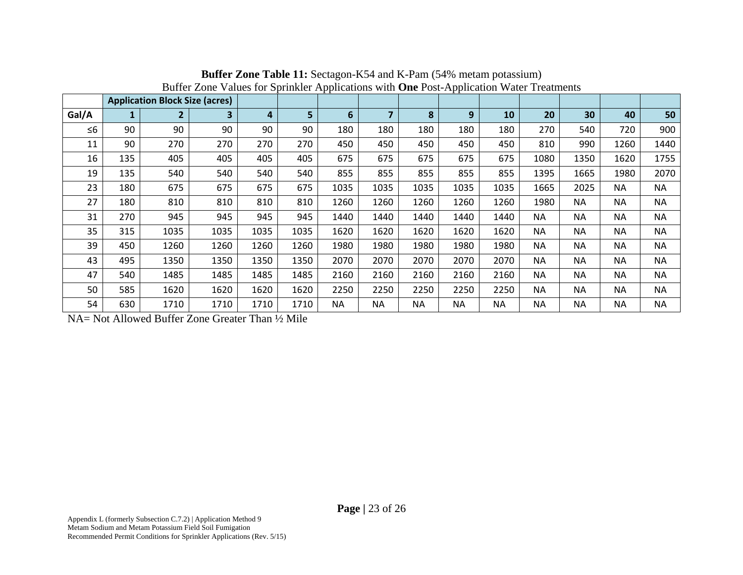|          | <b>Application Block Size (acres)</b> |                |      |      |                |           |           |           |      |           |           |           |           |           |
|----------|---------------------------------------|----------------|------|------|----------------|-----------|-----------|-----------|------|-----------|-----------|-----------|-----------|-----------|
| Gal/A    | 1                                     | $\overline{2}$ | 3    | 4    | 5 <sup>1</sup> | 6         |           | 8         | 9    | 10        | 20        | 30        | 40        | 50        |
| $\leq 6$ | 90                                    | 90             | 90   | 90   | 90             | 180       | 180       | 180       | 180  | 180       | 270       | 540       | 720       | 900       |
| 11       | 90                                    | 270            | 270  | 270  | 270            | 450       | 450       | 450       | 450  | 450       | 810       | 990       | 1260      | 1440      |
| 16       | 135                                   | 405            | 405  | 405  | 405            | 675       | 675       | 675       | 675  | 675       | 1080      | 1350      | 1620      | 1755      |
| 19       | 135                                   | 540            | 540  | 540  | 540            | 855       | 855       | 855       | 855  | 855       | 1395      | 1665      | 1980      | 2070      |
| 23       | 180                                   | 675            | 675  | 675  | 675            | 1035      | 1035      | 1035      | 1035 | 1035      | 1665      | 2025      | <b>NA</b> | <b>NA</b> |
| 27       | 180                                   | 810            | 810  | 810  | 810            | 1260      | 1260      | 1260      | 1260 | 1260      | 1980      | <b>NA</b> | <b>NA</b> | <b>NA</b> |
| 31       | 270                                   | 945            | 945  | 945  | 945            | 1440      | 1440      | 1440      | 1440 | 1440      | <b>NA</b> | <b>NA</b> | <b>NA</b> | <b>NA</b> |
| 35       | 315                                   | 1035           | 1035 | 1035 | 1035           | 1620      | 1620      | 1620      | 1620 | 1620      | <b>NA</b> | <b>NA</b> | <b>NA</b> | <b>NA</b> |
| 39       | 450                                   | 1260           | 1260 | 1260 | 1260           | 1980      | 1980      | 1980      | 1980 | 1980      | <b>NA</b> | <b>NA</b> | <b>NA</b> | <b>NA</b> |
| 43       | 495                                   | 1350           | 1350 | 1350 | 1350           | 2070      | 2070      | 2070      | 2070 | 2070      | <b>NA</b> | <b>NA</b> | <b>NA</b> | <b>NA</b> |
| 47       | 540                                   | 1485           | 1485 | 1485 | 1485           | 2160      | 2160      | 2160      | 2160 | 2160      | <b>NA</b> | <b>NA</b> | <b>NA</b> | <b>NA</b> |
| 50       | 585                                   | 1620           | 1620 | 1620 | 1620           | 2250      | 2250      | 2250      | 2250 | 2250      | <b>NA</b> | NΑ        | <b>NA</b> | <b>NA</b> |
| 54       | 630                                   | 1710           | 1710 | 1710 | 1710           | <b>NA</b> | <b>NA</b> | <b>NA</b> | ΝA   | <b>NA</b> | <b>NA</b> | <b>NA</b> | <b>NA</b> | <b>NA</b> |

**Buffer Zone Table 11:** Sectagon-K54 and K-Pam (54% metam potassium) Buffer Zone Values for Sprinkler Applications with **One** Post-Application Water Treatments

NA= Not Allowed Buffer Zone Greater Than ½ Mile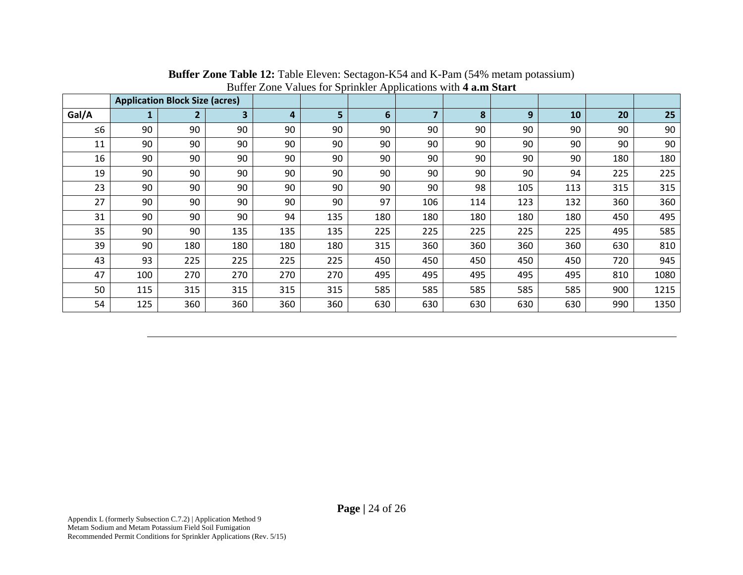|          |     | <b>Application Block Size (acres)</b> |     | <b>Date:</b> Lone values for optimier reprieditions with value bank |     |     |     |     |     |     |     |      |
|----------|-----|---------------------------------------|-----|---------------------------------------------------------------------|-----|-----|-----|-----|-----|-----|-----|------|
| Gal/A    | 1   | $\overline{2}$                        | 3   | 4                                                                   | 5   | 6   | 7   | 8   | 9   | 10  | 20  | 25   |
| $\leq 6$ | 90  | 90                                    | 90  | 90                                                                  | 90  | 90  | 90  | 90  | 90  | 90  | 90  | 90   |
| 11       | 90  | 90                                    | 90  | 90                                                                  | 90  | 90  | 90  | 90  | 90  | 90  | 90  | 90   |
| 16       | 90  | 90                                    | 90  | 90                                                                  | 90  | 90  | 90  | 90  | 90  | 90  | 180 | 180  |
| 19       | 90  | 90                                    | 90  | 90                                                                  | 90  | 90  | 90  | 90  | 90  | 94  | 225 | 225  |
| 23       | 90  | 90                                    | 90  | 90                                                                  | 90  | 90  | 90  | 98  | 105 | 113 | 315 | 315  |
| 27       | 90  | 90                                    | 90  | 90                                                                  | 90  | 97  | 106 | 114 | 123 | 132 | 360 | 360  |
| 31       | 90  | 90                                    | 90  | 94                                                                  | 135 | 180 | 180 | 180 | 180 | 180 | 450 | 495  |
| 35       | 90  | 90                                    | 135 | 135                                                                 | 135 | 225 | 225 | 225 | 225 | 225 | 495 | 585  |
| 39       | 90  | 180                                   | 180 | 180                                                                 | 180 | 315 | 360 | 360 | 360 | 360 | 630 | 810  |
| 43       | 93  | 225                                   | 225 | 225                                                                 | 225 | 450 | 450 | 450 | 450 | 450 | 720 | 945  |
| 47       | 100 | 270                                   | 270 | 270                                                                 | 270 | 495 | 495 | 495 | 495 | 495 | 810 | 1080 |
| 50       | 115 | 315                                   | 315 | 315                                                                 | 315 | 585 | 585 | 585 | 585 | 585 | 900 | 1215 |
| 54       | 125 | 360                                   | 360 | 360                                                                 | 360 | 630 | 630 | 630 | 630 | 630 | 990 | 1350 |

**Buffer Zone Table 12:** Table Eleven: Sectagon-K54 and K-Pam (54% metam potassium) Buffer Zone Values for Sprinkler Applications with **4 a.m Start**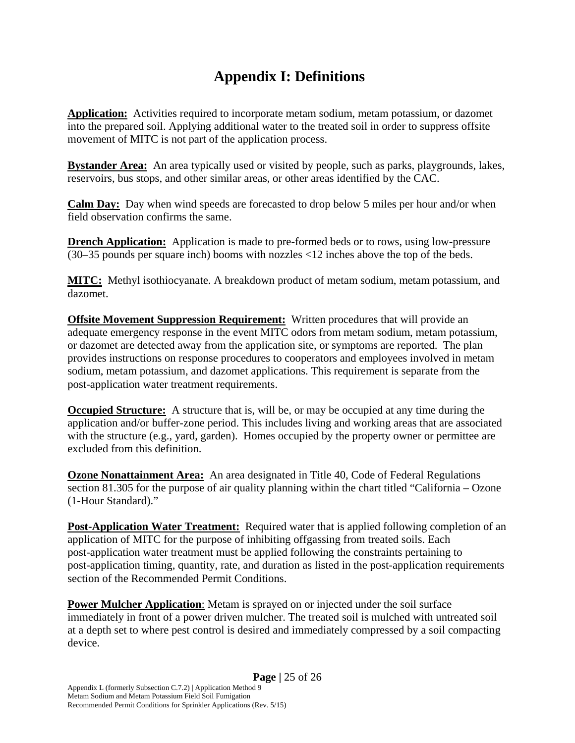#### **Appendix I: Definitions**

**Application:** Activities required to incorporate metam sodium, metam potassium, or dazomet into the prepared soil. Applying additional water to the treated soil in order to suppress offsite movement of MITC is not part of the application process.

**Bystander Area:** An area typically used or visited by people, such as parks, playgrounds, lakes, reservoirs, bus stops, and other similar areas, or other areas identified by the CAC.

**Calm Day:** Day when wind speeds are forecasted to drop below 5 miles per hour and/or when field observation confirms the same.

**Drench Application:** Application is made to pre-formed beds or to rows, using low-pressure (30–35 pounds per square inch) booms with nozzles <12 inches above the top of the beds.

**MITC:** Methyl isothiocyanate. A breakdown product of metam sodium, metam potassium, and dazomet.

**Offsite Movement Suppression Requirement:** Written procedures that will provide an adequate emergency response in the event MITC odors from metam sodium, metam potassium, or dazomet are detected away from the application site, or symptoms are reported. The plan provides instructions on response procedures to cooperators and employees involved in metam sodium, metam potassium, and dazomet applications. This requirement is separate from the post-application water treatment requirements.

**Occupied Structure:** A structure that is, will be, or may be occupied at any time during the application and/or buffer-zone period. This includes living and working areas that are associated with the structure (e.g., yard, garden). Homes occupied by the property owner or permittee are excluded from this definition.

**Ozone Nonattainment Area:** An area designated in Title 40, Code of Federal Regulations section 81.305 for the purpose of air quality planning within the chart titled "California – Ozone (1-Hour Standard)."

**Post-Application Water Treatment:** Required water that is applied following completion of an application of MITC for the purpose of inhibiting offgassing from treated soils. Each post-application water treatment must be applied following the constraints pertaining to post-application timing, quantity, rate, and duration as listed in the post-application requirements section of the Recommended Permit Conditions.

**Power Mulcher Application:** Metam is sprayed on or injected under the soil surface immediately in front of a power driven mulcher. The treated soil is mulched with untreated soil at a depth set to where pest control is desired and immediately compressed by a soil compacting device.